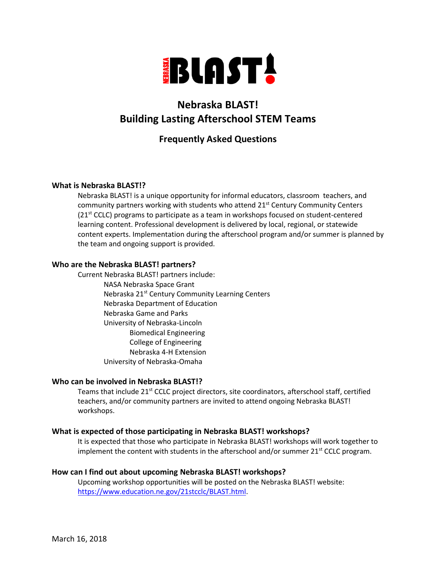

# **Nebraska BLAST! Building Lasting Afterschool STEM Teams**

# **Frequently Asked Questions**

#### **What is Nebraska BLAST!?**

Nebraska BLAST! is a unique opportunity for informal educators, classroom teachers, and community partners working with students who attend 21<sup>st</sup> Century Community Centers  $(21<sup>st</sup> CCLC)$  programs to participate as a team in workshops focused on student-centered learning content. Professional development is delivered by local, regional, or statewide content experts. Implementation during the afterschool program and/or summer is planned by the team and ongoing support is provided.

#### **Who are the Nebraska BLAST! partners?**

Current Nebraska BLAST! partners include: NASA Nebraska Space Grant Nebraska 21<sup>st</sup> Century Community Learning Centers Nebraska Department of Education Nebraska Game and Parks University of Nebraska-Lincoln Biomedical Engineering College of Engineering Nebraska 4-H Extension University of Nebraska-Omaha

#### **Who can be involved in Nebraska BLAST!?**

Teams that include 21<sup>st</sup> CCLC project directors, site coordinators, afterschool staff, certified teachers, and/or community partners are invited to attend ongoing Nebraska BLAST! workshops.

## **What is expected of those participating in Nebraska BLAST! workshops?**

It is expected that those who participate in Nebraska BLAST! workshops will work together to implement the content with students in the afterschool and/or summer  $21^{st}$  CCLC program.

## **How can I find out about upcoming Nebraska BLAST! workshops?**

Upcoming workshop opportunities will be posted on the Nebraska BLAST! website: [https://www.education.ne.gov/21stcclc/BLAST.html.](https://www.education.ne.gov/21stcclc/BLAST.html)